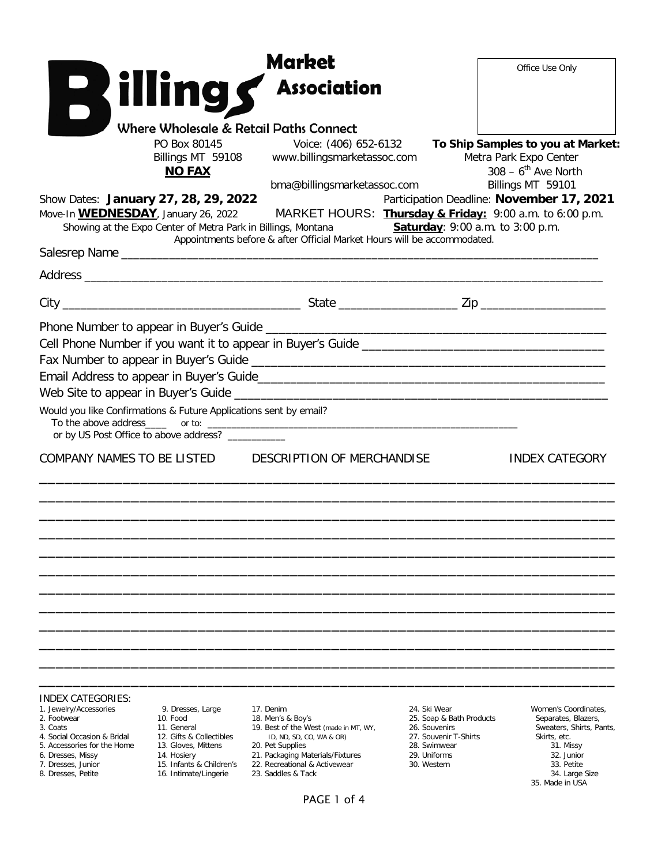|                                                                                     |                                                    | Market<br><b>Billings</b> Association                                                                                                                                                          | Office Use Only                                                                                                                                                                                                                                                   |
|-------------------------------------------------------------------------------------|----------------------------------------------------|------------------------------------------------------------------------------------------------------------------------------------------------------------------------------------------------|-------------------------------------------------------------------------------------------------------------------------------------------------------------------------------------------------------------------------------------------------------------------|
| Show Dates: January 27, 28, 29, 2022<br>Move-In <b>WEDNESDAY</b> , January 26, 2022 | PO Box 80145<br>Billings MT 59108<br><b>NO FAX</b> | Where Wholesale & Retail Paths Connect<br>Voice: (406) 652-6132<br>www.billingsmarketassoc.com<br>bma@billingsmarketassoc.com<br>Showing at the Expo Center of Metra Park in Billings, Montana | To Ship Samples to you at Market:<br>Metra Park Expo Center<br>$308 - 6$ <sup>th</sup> Ave North<br>Billings MT 59101<br>Participation Deadline: November 17, 2021<br>MARKET HOURS: Thursday & Friday: 9:00 a.m. to 6:00 p.m.<br>Saturday: 9:00 a.m. to 3:00 p.m. |
|                                                                                     |                                                    | Appointments before & after Official Market Hours will be accommodated.                                                                                                                        |                                                                                                                                                                                                                                                                   |
|                                                                                     |                                                    |                                                                                                                                                                                                |                                                                                                                                                                                                                                                                   |
|                                                                                     |                                                    |                                                                                                                                                                                                |                                                                                                                                                                                                                                                                   |
| Would you like Confirmations & Future Applications sent by email?                   | or by US Post Office to above address? _________   |                                                                                                                                                                                                | <u> 2000 - Jan James James James James James James James James James James James James James James James James J</u>                                                                                                                                              |
|                                                                                     |                                                    | COMPANY NAMES TO BE LISTED DESCRIPTION OF MERCHANDISE                                                                                                                                          | <b>INDEX CATEGORY</b>                                                                                                                                                                                                                                             |
| <b>INDEX CATEGORIES:</b><br>1. Jewelry/Accessories<br>2. Footwear<br>3. Coats       | 9. Dresses, Large<br>10. Food<br>11. General       | 17. Denim<br>18. Men's & Boy's<br>19. Best of the West (made in MT, WY,                                                                                                                        | 24. Ski Wear<br>Women's Coordinates,<br>25. Soap & Bath Products<br>Separates, Blazers,<br>26. Souvenirs<br>Sweaters, Shirts, Pants,                                                                                                                              |

- 
- 
- 5. Accessories for the Home 13. Gloves, Mittens 20. Pet Supplies 28. Swimwear 31. Missy
- 
- 
- 
- 
- 
- 
- 16. Intimate/Lingerie
- 
- 4. Social Occasion & Bridal 12. Gifts & Collectibles ID, ND, SD, CO, WA & OR) 27. Souvenir T-Shirts Skirts, etc.
	-
	-
- 7. Dresses, Junior 15. Infants & Children's 22. Recreational & Activewear 3. Dresses, Petite 16. Intimate/Lingerie 23. Saddles & Tack
	-

## PAGE 1 of 4

- 
- 
- 
- -

6. Dresses, Missy 14. Hosiery 21. Packaging Materials/Fixtures 29. Uniforms 20. Uniforms 32. Junior<br>16. Infants & Children's 22. Recreational & Activewear 30. Western 33. Petite 33. Petite 35. Made in USA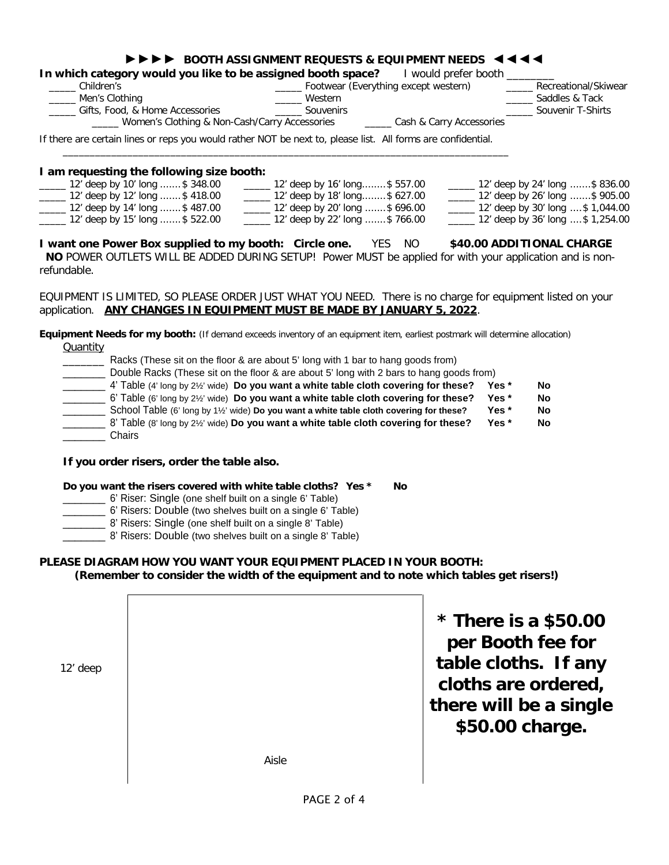## ►►►► **BOOTH ASSIGNMENT REQUESTS & EQUIPMENT NEEDS** ◄◄◄◄ **In which category would you like to be assigned booth space?** I would prefer booth \_\_\_\_\_ Children's \_\_\_\_\_ Footwear (Everything except western) \_\_\_\_\_ Recreational/Skiwear \_\_\_\_\_ Men's Clothing \_\_\_\_\_ Western \_\_\_\_\_ Saddles & Tack \_\_\_\_\_ Gifts, Food, & Home Accessories \_\_\_\_\_ Souvenirs \_\_\_\_\_ Souvenir T-Shirts Women's Clothing & Non-Cash/Carry Accessories

If there are certain lines or reps you would rather NOT be next to, please list. All forms are confidential.

\_\_\_\_\_\_\_\_\_\_\_\_\_\_\_\_\_\_\_\_\_\_\_\_\_\_\_\_\_\_\_\_\_\_\_\_\_\_\_\_\_\_\_\_\_\_\_\_\_\_\_\_\_\_\_\_\_\_\_\_\_\_\_\_\_\_\_\_\_\_\_\_\_\_\_\_\_\_\_\_\_\_\_

#### **I am requesting the following size booth:**  \_\_\_\_\_ 12' deep by 10' long .......\$ 348.00 \_\_\_\_\_ 12' deep by 12' long .......\$ 418.00 \_\_\_\_\_ 12' deep by 14' long .......\$ 487.00 \_\_\_\_\_ 12' deep by 15' long .......\$ 522.00 \_\_\_\_\_ 12' deep by 16' long........\$ 557.00 \_\_\_\_\_ 12' deep by 18' long........\$ 627.00 \_\_\_\_\_ 12' deep by 20' long .......\$ 696.00 \_\_\_\_\_ 12' deep by 22' long .......\$ 766.00 \_\_\_\_\_ 12' deep by 24' long .......\$ 836.00 \_\_\_\_\_ 12' deep by 26' long .......\$ 905.00 \_\_\_\_\_ 12' deep by 30' long ....\$ 1,044.00 \_\_\_\_\_ 12' deep by 36' long ....\$ 1,254.00

**I want one Power Box supplied to my booth: Circle one.** YES NO **\$40.00 ADDITIONAL CHARGE NO** POWER OUTLETS WILL BE ADDED DURING SETUP! Power MUST be applied for with your application and is nonrefundable.

EQUIPMENT IS LIMITED, SO PLEASE ORDER JUST WHAT YOU NEED. There is no charge for equipment listed on your application. **ANY CHANGES IN EQUIPMENT MUST BE MADE BY JANUARY 5, 2022**.

#### **Equipment Needs for my booth:** (If demand exceeds inventory of an equipment item, earliest postmark will determine allocation) **Quantity**

| Racks (These sit on the floor & are about 5' long with 1 bar to hang goods from)                |       |    |
|-------------------------------------------------------------------------------------------------|-------|----|
| Double Racks (These sit on the floor & are about 5' long with 2 bars to hang goods from)        |       |    |
| 4' Table (4' long by $2\frac{1}{2}$ ' wide) Do you want a white table cloth covering for these? | Yes * | No |
| 6' Table (6' long by $2\frac{1}{2}$ ' wide) Do you want a white table cloth covering for these? | Yes * | No |
| School Table (6' long by 1½' wide) Do you want a white table cloth covering for these?          | Yes * | No |
| 8' Table (8' long by 2½' wide) Do you want a white table cloth covering for these?              | Yes * | No |
| Chairs                                                                                          |       |    |

#### **If you order risers, order the table also.**

#### **Do you want the risers covered with white table cloths? Yes \* No**

- \_\_\_\_\_\_\_ 6' Riser: Single (one shelf built on a single 6' Table)
- \_\_\_\_\_\_\_ 6' Risers: Double (two shelves built on a single 6' Table)
- **\_\_\_\_\_\_\_ 8'** Risers: Single (one shelf built on a single 8' Table)
- 8' Risers: Double (two shelves built on a single 8' Table)

### **PLEASE DIAGRAM HOW YOU WANT YOUR EQUIPMENT PLACED IN YOUR BOOTH: (Remember to consider the width of the equipment and to note which tables get risers!)**

**\* There is a \$50.00 per Booth fee for table cloths. If any cloths are ordered, there will be a single \$50.00 charge.**

Aisle

12' deep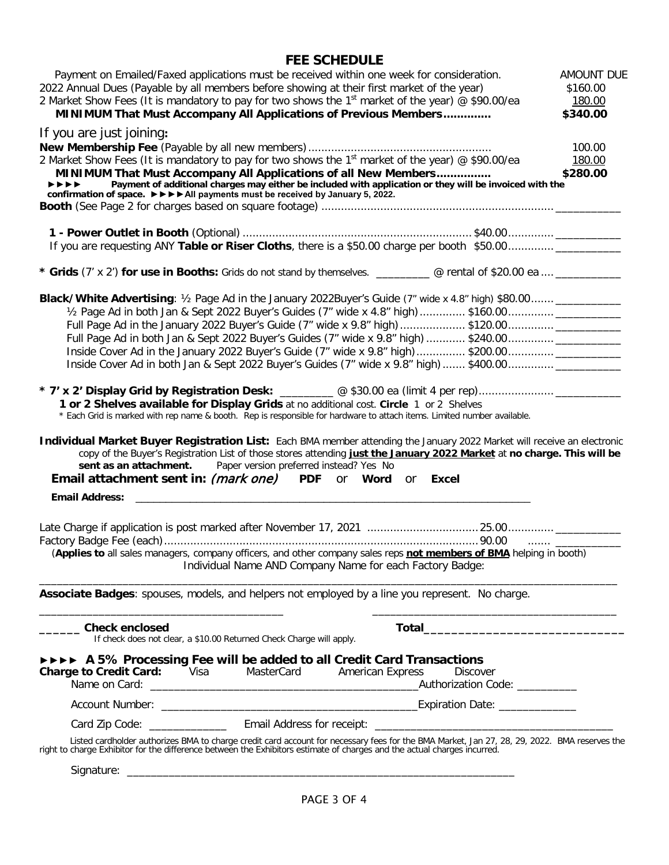# **FEE SCHEDULE**

|                                                                                                                                                                                    | Payment on Emailed/Faxed applications must be received within one week for consideration.                                                                                                                                                                                                                                                                         | <b>AMOUNT DUE</b> |
|------------------------------------------------------------------------------------------------------------------------------------------------------------------------------------|-------------------------------------------------------------------------------------------------------------------------------------------------------------------------------------------------------------------------------------------------------------------------------------------------------------------------------------------------------------------|-------------------|
| 2022 Annual Dues (Payable by all members before showing at their first market of the year)                                                                                         | \$160.00                                                                                                                                                                                                                                                                                                                                                          |                   |
| 2 Market Show Fees (It is mandatory to pay for two shows the 1 <sup>st</sup> market of the year) @ \$90.00/ea                                                                      |                                                                                                                                                                                                                                                                                                                                                                   |                   |
|                                                                                                                                                                                    | MINIMUM That Must Accompany All Applications of Previous Members                                                                                                                                                                                                                                                                                                  | \$340.00          |
| If you are just joining:                                                                                                                                                           |                                                                                                                                                                                                                                                                                                                                                                   |                   |
|                                                                                                                                                                                    |                                                                                                                                                                                                                                                                                                                                                                   | 100.00            |
| 2 Market Show Fees (It is mandatory to pay for two shows the 1 <sup>st</sup> market of the year) @ \$90.00/ea                                                                      |                                                                                                                                                                                                                                                                                                                                                                   |                   |
|                                                                                                                                                                                    | MINIMUM That Must Accompany All Applications of all New Members                                                                                                                                                                                                                                                                                                   | \$280.00          |
| $\blacktriangleright\blacktriangleright\blacktriangleright\blacktriangleright\blacktriangleright$<br>confirmation of space. ▶▶▶▶ All payments must be received by January 5, 2022. | Payment of additional charges may either be included with application or they will be invoiced with the                                                                                                                                                                                                                                                           |                   |
|                                                                                                                                                                                    |                                                                                                                                                                                                                                                                                                                                                                   |                   |
|                                                                                                                                                                                    |                                                                                                                                                                                                                                                                                                                                                                   |                   |
|                                                                                                                                                                                    |                                                                                                                                                                                                                                                                                                                                                                   |                   |
|                                                                                                                                                                                    | If you are requesting ANY Table or Riser Cloths, there is a \$50.00 charge per booth \$50.00                                                                                                                                                                                                                                                                      |                   |
|                                                                                                                                                                                    |                                                                                                                                                                                                                                                                                                                                                                   |                   |
|                                                                                                                                                                                    | * Grids (7' x 2') for use in Booths: Grids do not stand by themselves. _________ @ rental of \$20.00 ea  _________                                                                                                                                                                                                                                                |                   |
|                                                                                                                                                                                    |                                                                                                                                                                                                                                                                                                                                                                   |                   |
|                                                                                                                                                                                    | Black/White Advertising: 1/2 Page Ad in the January 2022Buyer's Guide (7" wide x 4.8" high) \$80.00 __________                                                                                                                                                                                                                                                    |                   |
|                                                                                                                                                                                    |                                                                                                                                                                                                                                                                                                                                                                   |                   |
|                                                                                                                                                                                    |                                                                                                                                                                                                                                                                                                                                                                   |                   |
|                                                                                                                                                                                    |                                                                                                                                                                                                                                                                                                                                                                   |                   |
|                                                                                                                                                                                    |                                                                                                                                                                                                                                                                                                                                                                   |                   |
|                                                                                                                                                                                    |                                                                                                                                                                                                                                                                                                                                                                   |                   |
|                                                                                                                                                                                    |                                                                                                                                                                                                                                                                                                                                                                   |                   |
|                                                                                                                                                                                    | 1 or 2 Shelves available for Display Grids at no additional cost. Circle 1 or 2 Shelves                                                                                                                                                                                                                                                                           |                   |
|                                                                                                                                                                                    | * Each Grid is marked with rep name & booth. Rep is responsible for hardware to attach items. Limited number available.                                                                                                                                                                                                                                           |                   |
| sent as an attachment.                                                                                                                                                             | Individual Market Buyer Registration List: Each BMA member attending the January 2022 Market will receive an electronic<br>copy of the Buyer's Registration List of those stores attending just the January 2022 Market at no charge. This will be<br>Paper version preferred instead? Yes No<br><b>Email attachment sent in: (mark one)</b> PDF or Word or Excel |                   |
| <b>Email Address:</b>                                                                                                                                                              |                                                                                                                                                                                                                                                                                                                                                                   |                   |
|                                                                                                                                                                                    |                                                                                                                                                                                                                                                                                                                                                                   |                   |
|                                                                                                                                                                                    |                                                                                                                                                                                                                                                                                                                                                                   |                   |
|                                                                                                                                                                                    |                                                                                                                                                                                                                                                                                                                                                                   |                   |
|                                                                                                                                                                                    | (Applies to all sales managers, company officers, and other company sales reps not members of BMA helping in booth)                                                                                                                                                                                                                                               |                   |
|                                                                                                                                                                                    | Individual Name AND Company Name for each Factory Badge:                                                                                                                                                                                                                                                                                                          |                   |
|                                                                                                                                                                                    |                                                                                                                                                                                                                                                                                                                                                                   |                   |
|                                                                                                                                                                                    | Associate Badges: spouses, models, and helpers not employed by a line you represent. No charge.                                                                                                                                                                                                                                                                   |                   |
|                                                                                                                                                                                    | the control of the control of the control of the control of the control of the control of                                                                                                                                                                                                                                                                         |                   |
| <b>Check enclosed</b>                                                                                                                                                              |                                                                                                                                                                                                                                                                                                                                                                   |                   |
| If check does not clear, a \$10.00 Returned Check Charge will apply.                                                                                                               |                                                                                                                                                                                                                                                                                                                                                                   |                   |
|                                                                                                                                                                                    | <b>EXECUTE:</b> A 5% Processing Fee will be added to all Credit Card Transactions                                                                                                                                                                                                                                                                                 |                   |
| <b>Charge to Credit Card:</b> Visa                                                                                                                                                 | MasterCard<br><b>American Express</b><br><b>Discover</b>                                                                                                                                                                                                                                                                                                          |                   |
|                                                                                                                                                                                    |                                                                                                                                                                                                                                                                                                                                                                   |                   |
|                                                                                                                                                                                    |                                                                                                                                                                                                                                                                                                                                                                   |                   |
|                                                                                                                                                                                    |                                                                                                                                                                                                                                                                                                                                                                   |                   |
|                                                                                                                                                                                    |                                                                                                                                                                                                                                                                                                                                                                   |                   |
|                                                                                                                                                                                    | Listed cardholder authorizes BMA to charge credit card account for necessary fees for the BMA Market, Jan 27, 28, 29, 2022. BMA reserves the right to charge Exhibitor for the difference between the Exhibitors estimate of c                                                                                                                                    |                   |
|                                                                                                                                                                                    |                                                                                                                                                                                                                                                                                                                                                                   |                   |
|                                                                                                                                                                                    |                                                                                                                                                                                                                                                                                                                                                                   |                   |